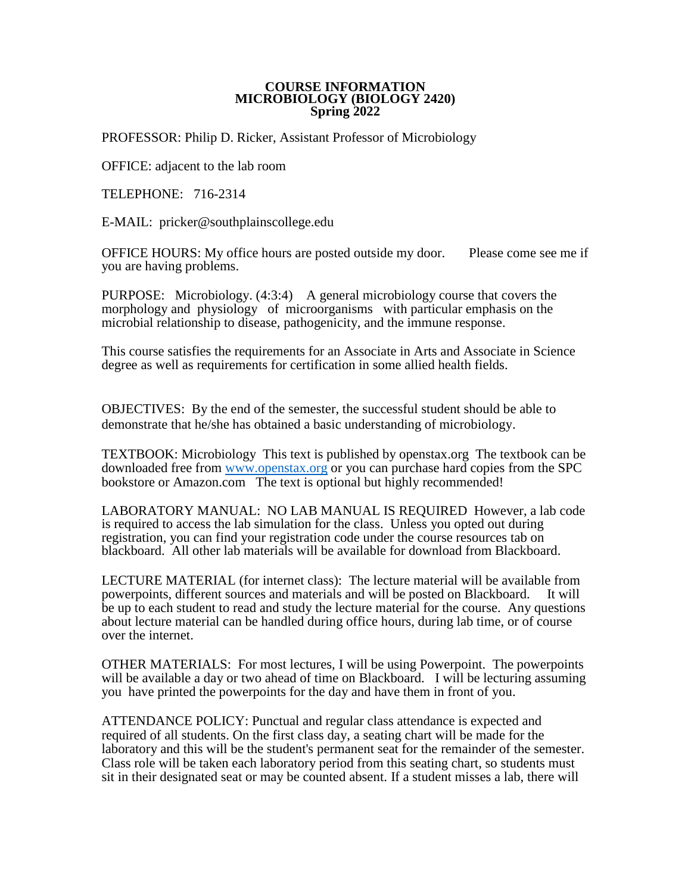#### **COURSE INFORMATION MICROBIOLOGY (BIOLOGY 2420) Spring 2022**

PROFESSOR: Philip D. Ricker, Assistant Professor of Microbiology

OFFICE: adjacent to the lab room

TELEPHONE: 716-2314

E-MAIL: pricker@southplainscollege.edu

OFFICE HOURS: My office hours are posted outside my door. Please come see me if you are having problems.

PURPOSE: Microbiology. (4:3:4) A general microbiology course that covers the morphology and physiology of microorganisms with particular emphasis on the microbial relationship to disease, pathogenicity, and the immune response.

This course satisfies the requirements for an Associate in Arts and Associate in Science degree as well as requirements for certification in some allied health fields.

OBJECTIVES: By the end of the semester, the successful student should be able to demonstrate that he/she has obtained a basic understanding of microbiology.

TEXTBOOK: Microbiology This text is published by openstax.org The textbook can be downloaded free from [www.openstax.org](http://www.openstax.org/) or you can purchase hard copies from the SPC bookstore or Amazon.com The text is optional but highly recommended!

LABORATORY MANUAL: NO LAB MANUAL IS REQUIRED However, a lab code is required to access the lab simulation for the class. Unless you opted out during registration, you can find your registration code under the course resources tab on blackboard. All other lab materials will be available for download from Blackboard.

LECTURE MATERIAL (for internet class): The lecture material will be available from powerpoints, different sources and materials and will be posted on Blackboard. It will be up to each student to read and study the lecture material for the course. Any questions about lecture material can be handled during office hours, during lab time, or of course over the internet.

OTHER MATERIALS: For most lectures, I will be using Powerpoint. The powerpoints will be available a day or two ahead of time on Blackboard. I will be lecturing assuming you have printed the powerpoints for the day and have them in front of you.

ATTENDANCE POLICY: Punctual and regular class attendance is expected and required of all students. On the first class day, a seating chart will be made for the laboratory and this will be the student's permanent seat for the remainder of the semester. Class role will be taken each laboratory period from this seating chart, so students must sit in their designated seat or may be counted absent. If a student misses a lab, there will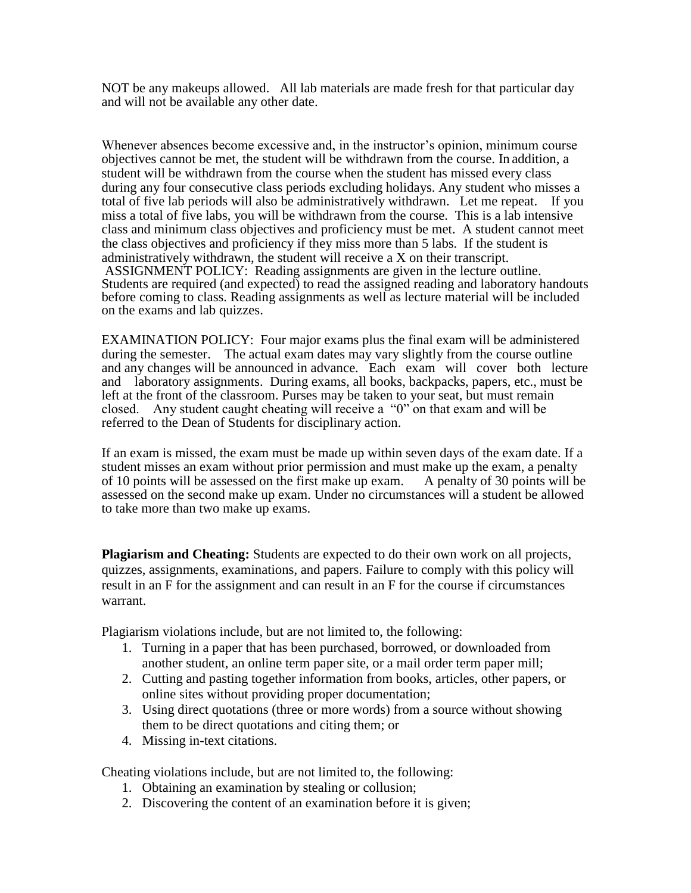NOT be any makeups allowed. All lab materials are made fresh for that particular day and will not be available any other date.

Whenever absences become excessive and, in the instructor's opinion, minimum course objectives cannot be met, the student will be withdrawn from the course. In addition, a student will be withdrawn from the course when the student has missed every class during any four consecutive class periods excluding holidays. Any student who misses a total of five lab periods will also be administratively withdrawn. Let me repeat. If you miss a total of five labs, you will be withdrawn from the course. This is a lab intensive class and minimum class objectives and proficiency must be met. A student cannot meet the class objectives and proficiency if they miss more than 5 labs. If the student is administratively withdrawn, the student will receive a X on their transcript. ASSIGNMENT POLICY: Reading assignments are given in the lecture outline. Students are required (and expected) to read the assigned reading and laboratory handouts before coming to class. Reading assignments as well as lecture material will be included on the exams and lab quizzes.

EXAMINATION POLICY: Four major exams plus the final exam will be administered during the semester. The actual exam dates may vary slightly from the course outline and any changes will be announced in advance. Each exam will cover both lecture and laboratory assignments. During exams, all books, backpacks, papers, etc., must be left at the front of the classroom. Purses may be taken to your seat, but must remain closed. Any student caught cheating will receive a "0" on that exam and will be referred to the Dean of Students for disciplinary action.

If an exam is missed, the exam must be made up within seven days of the exam date. If a student misses an exam without prior permission and must make up the exam, a penalty of 10 points will be assessed on the first make up exam. A penalty of 30 points will be assessed on the second make up exam. Under no circumstances will a student be allowed to take more than two make up exams.

**Plagiarism and Cheating:** Students are expected to do their own work on all projects, quizzes, assignments, examinations, and papers. Failure to comply with this policy will result in an F for the assignment and can result in an F for the course if circumstances warrant.

Plagiarism violations include, but are not limited to, the following:

- 1. Turning in a paper that has been purchased, borrowed, or downloaded from another student, an online term paper site, or a mail order term paper mill;
- 2. Cutting and pasting together information from books, articles, other papers, or online sites without providing proper documentation;
- 3. Using direct quotations (three or more words) from a source without showing them to be direct quotations and citing them; or
- 4. Missing in-text citations.

Cheating violations include, but are not limited to, the following:

- 1. Obtaining an examination by stealing or collusion;
- 2. Discovering the content of an examination before it is given;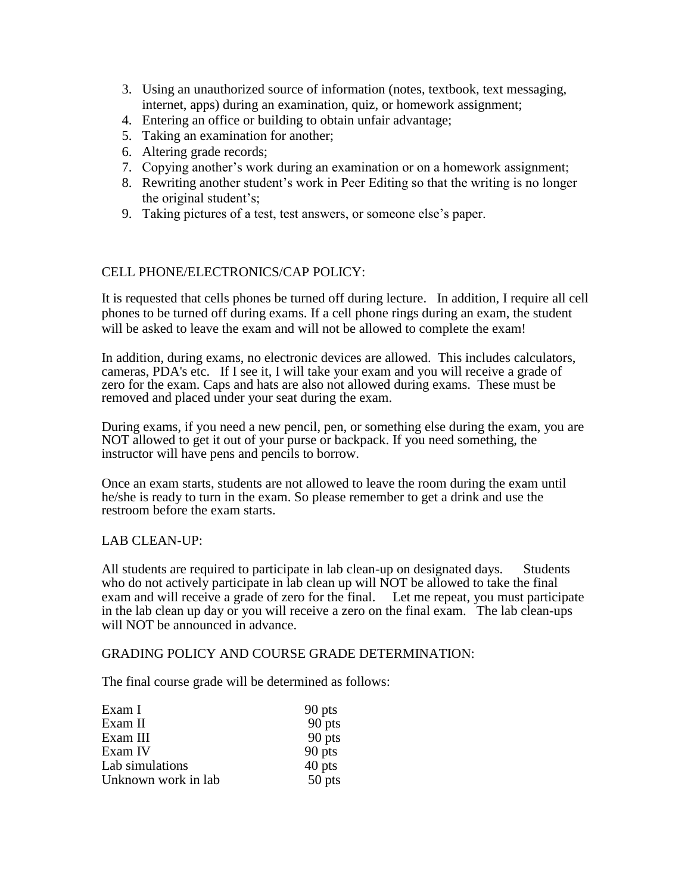- 3. Using an unauthorized source of information (notes, textbook, text messaging, internet, apps) during an examination, quiz, or homework assignment;
- 4. Entering an office or building to obtain unfair advantage;
- 5. Taking an examination for another;
- 6. Altering grade records;
- 7. Copying another's work during an examination or on a homework assignment;
- 8. Rewriting another student's work in Peer Editing so that the writing is no longer the original student's;
- 9. Taking pictures of a test, test answers, or someone else's paper.

## CELL PHONE/ELECTRONICS/CAP POLICY:

It is requested that cells phones be turned off during lecture. In addition, I require all cell phones to be turned off during exams. If a cell phone rings during an exam, the student will be asked to leave the exam and will not be allowed to complete the exam!

In addition, during exams, no electronic devices are allowed. This includes calculators, cameras, PDA's etc. If I see it, I will take your exam and you will receive a grade of zero for the exam. Caps and hats are also not allowed during exams. These must be removed and placed under your seat during the exam.

During exams, if you need a new pencil, pen, or something else during the exam, you are NOT allowed to get it out of your purse or backpack. If you need something, the instructor will have pens and pencils to borrow.

Once an exam starts, students are not allowed to leave the room during the exam until he/she is ready to turn in the exam. So please remember to get a drink and use the restroom before the exam starts.

### LAB CLEAN-UP:

All students are required to participate in lab clean-up on designated days. Students who do not actively participate in lab clean up will NOT be allowed to take the final exam and will receive a grade of zero for the final. Let me repeat, you must participate in the lab clean up day or you will receive a zero on the final exam. The lab clean-ups will NOT be announced in advance.

### GRADING POLICY AND COURSE GRADE DETERMINATION:

The final course grade will be determined as follows:

| Exam I              | 90 pts |
|---------------------|--------|
| Exam II             | 90 pts |
| Exam III            | 90 pts |
| Exam IV             | 90 pts |
| Lab simulations     | 40 pts |
| Unknown work in lab | 50 pts |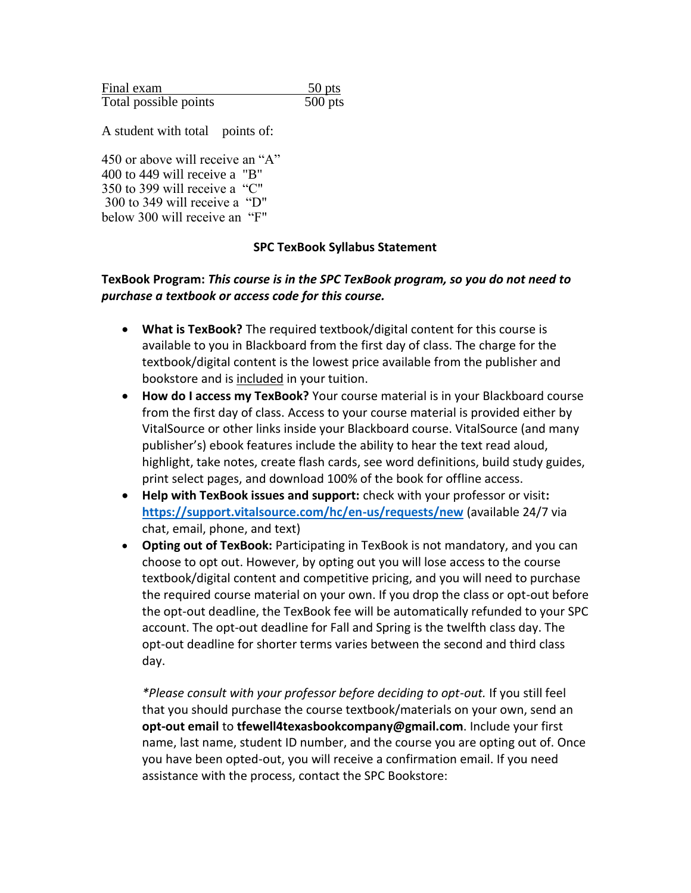| Final exam            | 50 pts    |
|-----------------------|-----------|
| Total possible points | $500$ pts |

A student with total points of:

450 or above will receive an "A" 400 to 449 will receive a "B" 350 to 399 will receive a "C" 300 to 349 will receive a "D" below 300 will receive an "F"

## **SPC TexBook Syllabus Statement**

# **TexBook Program:** *This course is in the SPC TexBook program, so you do not need to purchase a textbook or access code for this course.*

- **What is TexBook?** The required textbook/digital content for this course is available to you in Blackboard from the first day of class. The charge for the textbook/digital content is the lowest price available from the publisher and bookstore and is included in your tuition.
- **How do I access my TexBook?** Your course material is in your Blackboard course from the first day of class. Access to your course material is provided either by VitalSource or other links inside your Blackboard course. VitalSource (and many publisher's) ebook features include the ability to hear the text read aloud, highlight, take notes, create flash cards, see word definitions, build study guides, print select pages, and download 100% of the book for offline access.
- **Help with TexBook issues and support:** check with your professor or visit**: <https://support.vitalsource.com/hc/en-us/requests/new>** (available 24/7 via chat, email, phone, and text)
- **Opting out of TexBook:** Participating in TexBook is not mandatory, and you can choose to opt out. However, by opting out you will lose access to the course textbook/digital content and competitive pricing, and you will need to purchase the required course material on your own. If you drop the class or opt-out before the opt-out deadline, the TexBook fee will be automatically refunded to your SPC account. The opt-out deadline for Fall and Spring is the twelfth class day. The opt-out deadline for shorter terms varies between the second and third class day.

*\*Please consult with your professor before deciding to opt-out.* If you still feel that you should purchase the course textbook/materials on your own, send an **opt-out email** to **tfewell4texasbookcompany@gmail.com**. Include your first name, last name, student ID number, and the course you are opting out of. Once you have been opted-out, you will receive a confirmation email. If you need assistance with the process, contact the SPC Bookstore: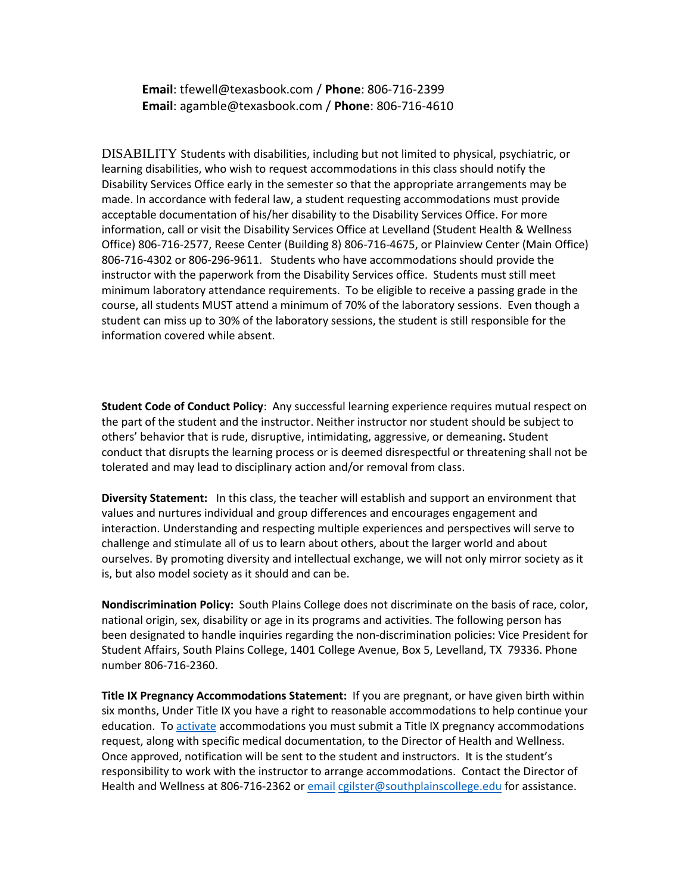**Email**: tfewell@texasbook.com / **Phone**: 806-716-2399 **Email**: agamble@texasbook.com / **Phone**: 806-716-4610

DISABILITY Students with disabilities, including but not limited to physical, psychiatric, or learning disabilities, who wish to request accommodations in this class should notify the Disability Services Office early in the semester so that the appropriate arrangements may be made. In accordance with federal law, a student requesting accommodations must provide acceptable documentation of his/her disability to the Disability Services Office. For more information, call or visit the Disability Services Office at Levelland (Student Health & Wellness Office) 806-716-2577, Reese Center (Building 8) 806-716-4675, or Plainview Center (Main Office) 806-716-4302 or 806-296-9611. Students who have accommodations should provide the instructor with the paperwork from the Disability Services office. Students must still meet minimum laboratory attendance requirements. To be eligible to receive a passing grade in the course, all students MUST attend a minimum of 70% of the laboratory sessions. Even though a student can miss up to 30% of the laboratory sessions, the student is still responsible for the information covered while absent.

**Student Code of Conduct Policy**: Any successful learning experience requires mutual respect on the part of the student and the instructor. Neither instructor nor student should be subject to others' behavior that is rude, disruptive, intimidating, aggressive, or demeaning**.** Student conduct that disrupts the learning process or is deemed disrespectful or threatening shall not be tolerated and may lead to disciplinary action and/or removal from class.

**Diversity Statement:** In this class, the teacher will establish and support an environment that values and nurtures individual and group differences and encourages engagement and interaction. Understanding and respecting multiple experiences and perspectives will serve to challenge and stimulate all of us to learn about others, about the larger world and about ourselves. By promoting diversity and intellectual exchange, we will not only mirror society as it is, but also model society as it should and can be.

**Nondiscrimination Policy:** South Plains College does not discriminate on the basis of race, color, national origin, sex, disability or age in its programs and activities. The following person has been designated to handle inquiries regarding the non-discrimination policies: Vice President for Student Affairs, South Plains College, 1401 College Avenue, Box 5, Levelland, TX 79336. Phone number 806-716-2360.

**Title IX Pregnancy Accommodations Statement:** If you are pregnant, or have given birth within six months, Under Title IX you have a right to reasonable accommodations to help continue your education. To [activate](http://www.southplainscollege.edu/employees/manualshandbooks/facultyhandbook/sec4.php) accommodations you must submit a Title IX pregnancy accommodations request, along with specific medical documentation, to the Director of Health and Wellness. Once approved, notification will be sent to the student and instructors. It is the student's responsibility to work with the instructor to arrange accommodations. Contact the Director of Health and Wellness at 806-716-2362 or [email](http://www.southplainscollege.edu/employees/manualshandbooks/facultyhandbook/sec4.php) [cgilster@southplainscollege.edu](mailto:cgilster@southplainscollege.edu) for assistance.